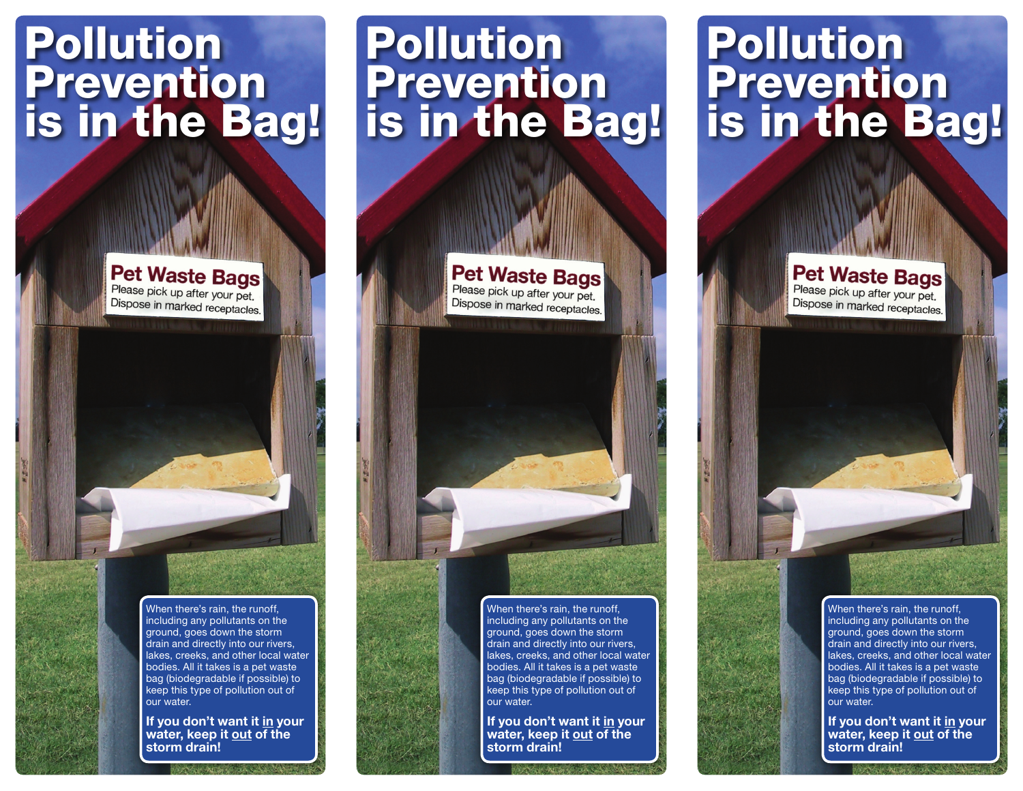## Pollution Prevention is in the Bag!

Pet Waste Bags Please pick up after your pet. Dispose in marked receptacles.

> When there's rain, the runoff, including any pollutants on the ground, goes down the storm drain and directly into our rivers, lakes, creeks, and other local water bodies. All it takes is a pet waste bag (biodegradable if possible) to keep this type of pollution out of our water.

**If you don't want it in your water, keep it out of the storm drain!** 

## Pollution Prevention is in the Bag!

Pet Waste Bags Please pick up after your pet. Dispose in marked receptacles.



When there's rain, the runoff, including any pollutants on the ground, goes down the storm drain and directly into our rivers, lakes, creeks, and other local water bodies. All it takes is a pet waste bag (biodegradable if possible) to keep this type of pollution out of our water.

**If you don't want it in your water, keep it out of the storm drain!** 

## Pollution **Prevention** is in the Bag!

Pet Waste Bags Please pick up after your pet. Dispose in marked receptacles.

> When there's rain, the runoff, including any pollutants on the ground, goes down the storm drain and directly into our rivers, lakes, creeks, and other local water bodies. All it takes is a pet waste bag (biodegradable if possible) to keep this type of pollution out of our water.

**If you don't want it in your water, keep it out of the storm drain!**